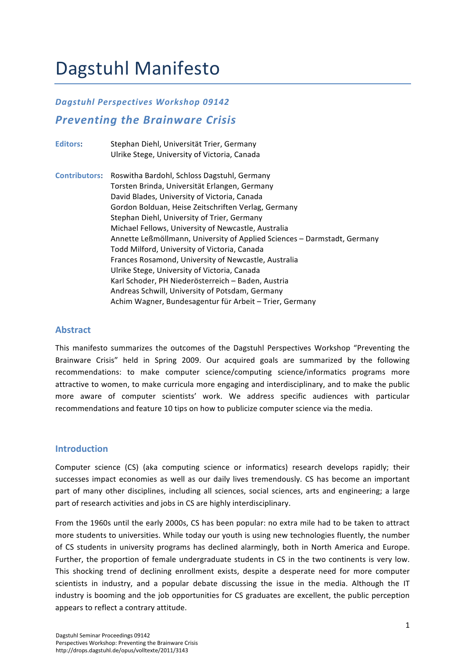# Dagstuhl Manifesto

## *Dagstuhl)Perspectives)Workshop)09142)*

# **Preventing the Brainware Crisis**

Editors: Stephan Diehl, Universität Trier, Germany Ulrike Stege, University of Victoria, Canada

**Contributors:** Roswitha Bardohl, Schloss Dagstuhl, Germany Torsten Brinda, Universität Erlangen, Germany David Blades, University of Victoria, Canada Gordon Bolduan, Heise Zeitschriften Verlag, Germany Stephan Diehl, University of Trier, Germany Michael Fellows, University of Newcastle, Australia Annette Leßmöllmann, University of Applied Sciences – Darmstadt, Germany Todd Milford, University of Victoria, Canada Frances Rosamond, University of Newcastle, Australia Ulrike Stege, University of Victoria, Canada Karl Schoder, PH Niederösterreich – Baden, Austria Andreas Schwill, University of Potsdam, Germany Achim Wagner, Bundesagentur für Arbeit – Trier, Germany

#### **Abstract!**

This manifesto summarizes the outcomes of the Dagstuhl Perspectives Workshop "Preventing the Brainware Crisis" held in Spring 2009. Our acquired goals are summarized by the following recommendations: to make computer science/computing science/informatics programs more attractive to women, to make curricula more engaging and interdisciplinary, and to make the public more aware of computer scientists' work. We address specific audiences with particular recommendations and feature 10 tips on how to publicize computer science via the media.

#### **Introduction**

Computer science (CS) (aka computing science or informatics) research develops rapidly; their successes impact economies as well as our daily lives tremendously. CS has become an important part of many other disciplines, including all sciences, social sciences, arts and engineering; a large part of research activities and jobs in CS are highly interdisciplinary.

From the 1960s until the early 2000s, CS has been popular: no extra mile had to be taken to attract more students to universities. While today our youth is using new technologies fluently, the number of CS students in university programs has declined alarmingly, both in North America and Europe. Further, the proportion of female undergraduate students in CS in the two continents is very low. This shocking trend of declining enrollment exists, despite a desperate need for more computer scientists in industry, and a popular debate discussing the issue in the media. Although the IT industry is booming and the job opportunities for CS graduates are excellent, the public perception appears to reflect a contrary attitude.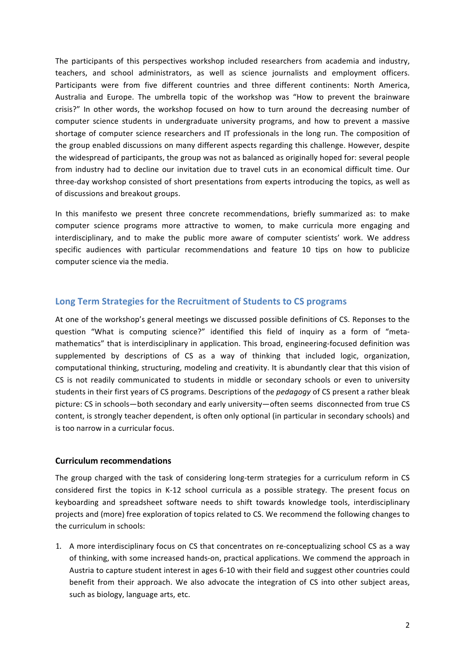The participants of this perspectives workshop included researchers from academia and industry, teachers, and school administrators, as well as science journalists and employment officers. Participants were from five different countries and three different continents: North America, Australia and Europe. The umbrella topic of the workshop was "How to prevent the brainware crisis?" In other words, the workshop focused on how to turn around the decreasing number of computer science students in undergraduate university programs, and how to prevent a massive shortage of computer science researchers and IT professionals in the long run. The composition of the group enabled discussions on many different aspects regarding this challenge. However, despite the widespread of participants, the group was not as balanced as originally hoped for: several people from industry had to decline our invitation due to travel cuts in an economical difficult time. Our three-day workshop consisted of short presentations from experts introducing the topics, as well as of discussions and breakout groups.

In this manifesto we present three concrete recommendations, briefly summarized as: to make computer science programs more attractive to women, to make curricula more engaging and interdisciplinary, and to make the public more aware of computer scientists' work. We address specific audiences with particular recommendations and feature 10 tips on how to publicize computer science via the media.

### Long Term Strategies for the Recruitment of Students to CS programs

At one of the workshop's general meetings we discussed possible definitions of CS. Reponses to the question "What is computing science?" identified this field of inquiry as a form of "metamathematics" that is interdisciplinary in application. This broad, engineering-focused definition was supplemented by descriptions of CS as a way of thinking that included logic, organization, computational thinking, structuring, modeling and creativity. It is abundantly clear that this vision of CS is not readily communicated to students in middle or secondary schools or even to university students in their first years of CS programs. Descriptions of the *pedagogy* of CS present a rather bleak picture: CS in schools—both secondary and early university—often seems disconnected from true CS content, is strongly teacher dependent, is often only optional (in particular in secondary schools) and is too narrow in a curricular focus.

#### **Curriculum!recommendations**

The group charged with the task of considering long-term strategies for a curriculum reform in CS considered first the topics in K-12 school curricula as a possible strategy. The present focus on keyboarding and spreadsheet software needs to shift towards knowledge tools, interdisciplinary projects and (more) free exploration of topics related to CS. We recommend the following changes to the curriculum in schools:

1. A more interdisciplinary focus on CS that concentrates on re-conceptualizing school CS as a way of thinking, with some increased hands-on, practical applications. We commend the approach in Austria to capture student interest in ages 6-10 with their field and suggest other countries could benefit from their approach. We also advocate the integration of CS into other subject areas, such as biology, language arts, etc.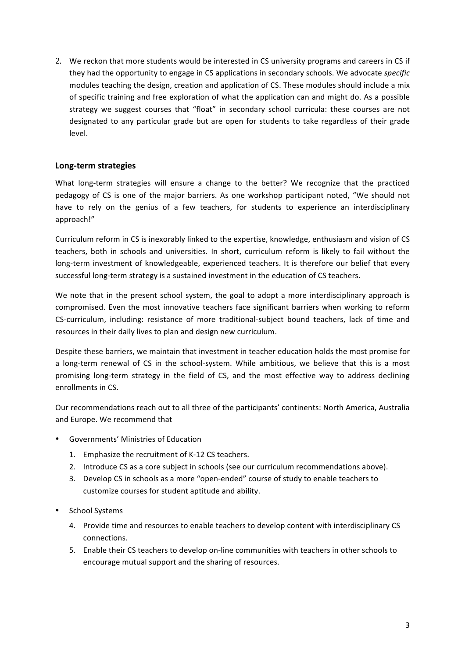2. We reckon that more students would be interested in CS university programs and careers in CS if they had the opportunity to engage in CS applications in secondary schools. We advocate *specific* modules teaching the design, creation and application of CS. These modules should include a mix of specific training and free exploration of what the application can and might do. As a possible strategy we suggest courses that "float" in secondary school curricula: these courses are not designated to any particular grade but are open for students to take regardless of their grade level.

### **Long=term!strategies**

What long-term strategies will ensure a change to the better? We recognize that the practiced pedagogy of CS is one of the major barriers. As one workshop participant noted, "We should not have to rely on the genius of a few teachers, for students to experience an interdisciplinary approach!"

Curriculum reform in CS is inexorably linked to the expertise, knowledge, enthusiasm and vision of CS teachers, both in schools and universities. In short, curriculum reform is likely to fail without the long-term investment of knowledgeable, experienced teachers. It is therefore our belief that every successful long-term strategy is a sustained investment in the education of CS teachers.

We note that in the present school system, the goal to adopt a more interdisciplinary approach is compromised. Even the most innovative teachers face significant barriers when working to reform CS-curriculum, including: resistance of more traditional-subject bound teachers, lack of time and resources in their daily lives to plan and design new curriculum.

Despite these barriers, we maintain that investment in teacher education holds the most promise for a long-term renewal of CS in the school-system. While ambitious, we believe that this is a most promising long-term strategy in the field of CS, and the most effective way to address declining enrollments in CS.

Our recommendations reach out to all three of the participants' continents: North America, Australia and Europe. We recommend that

- Governments' Ministries of Education
	- 1. Emphasize the recruitment of K-12 CS teachers.
	- 2. Introduce CS as a core subject in schools (see our curriculum recommendations above).
	- 3. Develop CS in schools as a more "open-ended" course of study to enable teachers to customize courses for student aptitude and ability.
- School Systems
	- 4. Provide time and resources to enable teachers to develop content with interdisciplinary CS connections.
	- 5. Enable their CS teachers to develop on-line communities with teachers in other schools to encourage mutual support and the sharing of resources.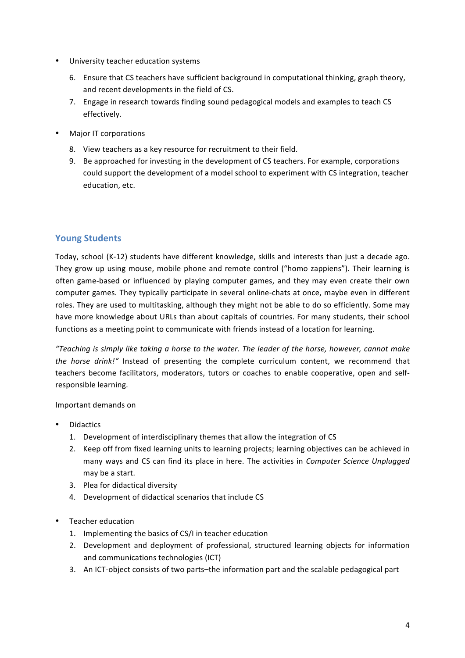- University teacher education systems
	- 6. Ensure that CS teachers have sufficient background in computational thinking, graph theory, and recent developments in the field of CS.
	- 7. Engage in research towards finding sound pedagogical models and examples to teach CS effectively.
- Major IT corporations
	- 8. View teachers as a key resource for recruitment to their field.
	- 9. Be approached for investing in the development of CS teachers. For example, corporations could support the development of a model school to experiment with CS integration, teacher education, etc.

# **Young Students**

Today, school (K-12) students have different knowledge, skills and interests than just a decade ago. They grow up using mouse, mobile phone and remote control ("homo zappiens"). Their learning is often game-based or influenced by playing computer games, and they may even create their own computer games. They typically participate in several online-chats at once, maybe even in different roles. They are used to multitasking, although they might not be able to do so efficiently. Some may have more knowledge about URLs than about capitals of countries. For many students, their school functions as a meeting point to communicate with friends instead of a location for learning.

"Teaching is simply like taking a horse to the water. The leader of the horse, however, cannot make *the horse drink!"* Instead of presenting the complete curriculum content, we recommend that teachers become facilitators, moderators, tutors or coaches to enable cooperative, open and selfresponsible learning.

#### Important demands on

- **Didactics** 
	- 1. Development of interdisciplinary themes that allow the integration of CS
	- 2. Keep off from fixed learning units to learning projects; learning objectives can be achieved in many ways and CS can find its place in here. The activities in *Computer Science Unplugged* may be a start.
	- 3. Plea for didactical diversity
	- 4. Development of didactical scenarios that include CS
- Teacher education
	- 1. Implementing the basics of CS/I in teacher education
	- 2. Development and deployment of professional, structured learning objects for information and communications technologies (ICT)
	- 3. An ICT-object consists of two parts–the information part and the scalable pedagogical part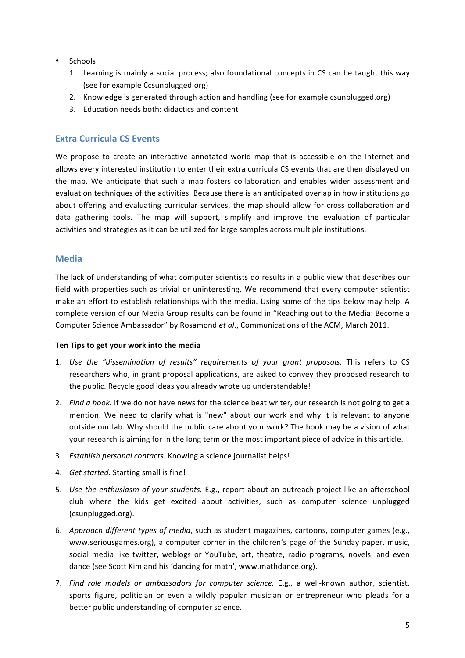- Schools
	- 1. Learning is mainly a social process; also foundational concepts in CS can be taught this way (see for example Ccsunplugged.org)
	- 2. Knowledge is generated through action and handling (see for example csunplugged.org)
	- 3. Education needs both: didactics and content

## **Extra Curricula CS Events**

We propose to create an interactive annotated world map that is accessible on the Internet and allows every interested institution to enter their extra curricula CS events that are then displayed on the map. We anticipate that such a map fosters collaboration and enables wider assessment and evaluation techniques of the activities. Because there is an anticipated overlap in how institutions go about offering and evaluating curricular services, the map should allow for cross collaboration and data gathering tools. The map will support, simplify and improve the evaluation of particular activities and strategies as it can be utilized for large samples across multiple institutions.

#### **Media**

The lack of understanding of what computer scientists do results in a public view that describes our field with properties such as trivial or uninteresting. We recommend that every computer scientist make an effort to establish relationships with the media. Using some of the tips below may help. A complete version of our Media Group results can be found in "Reaching out to the Media: Become a Computer Science Ambassador" by Rosamond et al., Communications of the ACM, March 2011.

#### Ten Tips to get your work into the media

- 1. *Use the "dissemination of results" requirements of your grant proposals.* This refers to CS researchers who, in grant proposal applications, are asked to convey they proposed research to the public. Recycle good ideas you already wrote up understandable!
- 2. Find a hook: If we do not have news for the science beat writer, our research is not going to get a mention. We need to clarify what is "new" about our work and why it is relevant to anyone outside our lab. Why should the public care about your work? The hook may be a vision of what your research is aiming for in the long term or the most important piece of advice in this article.
- 3. *Establish personal contacts.* Knowing a science journalist helps!
- 4. *Get started.* Starting small is fine!
- 5. *Use the enthusiasm of your students.* E.g., report about an outreach project like an afterschool club where the kids get excited about activities, such as computer science unplugged (csunplugged.org).
- 6. *Approach different types of media*, such as student magazines, cartoons, computer games (e.g., www.seriousgames.org), a computer corner in the children's page of the Sunday paper, music, social media like twitter, weblogs or YouTube, art, theatre, radio programs, novels, and even dance (see Scott Kim and his 'dancing for math', www.mathdance.org).
- 7. Find role models or ambassadors for computer science. E.g., a well-known author, scientist, sports figure, politician or even a wildly popular musician or entrepreneur who pleads for a better public understanding of computer science.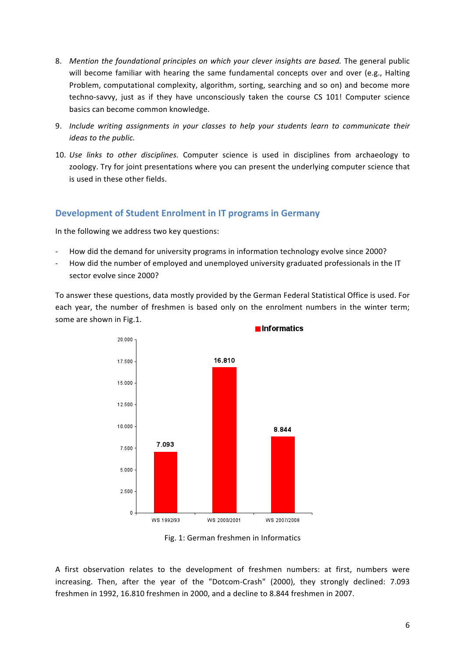- 8. *Mention the foundational principles on which your clever insights are based.* The general public will become familiar with hearing the same fundamental concepts over and over (e.g., Halting Problem, computational complexity, algorithm, sorting, searching and so on) and become more techno-savvy, just as if they have unconsciously taken the course CS 101! Computer science basics can become common knowledge.
- 9. *Include writing assignments in your classes to help your students learn to communicate their ideas to the public.*
- 10. *Use links to other disciplines.* Computer science is used in disciplines from archaeology to zoology. Try for joint presentations where you can present the underlying computer science that is used in these other fields.

## **Development of Student Enrolment in IT programs in Germany**

In the following we address two key questions:

- How did the demand for university programs in information technology evolve since 2000?
- How did the number of employed and unemployed university graduated professionals in the IT sector evolve since 2000?

To answer these questions, data mostly provided by the German Federal Statistical Office is used. For each year, the number of freshmen is based only on the enrolment numbers in the winter term; some are shown in Fig.1.



Fig. 1: German freshmen in Informatics

A first observation relates to the development of freshmen numbers: at first, numbers were increasing. Then, after the year of the "Dotcom-Crash" (2000), they strongly declined: 7.093 freshmen in 1992, 16.810 freshmen in 2000, and a decline to 8.844 freshmen in 2007.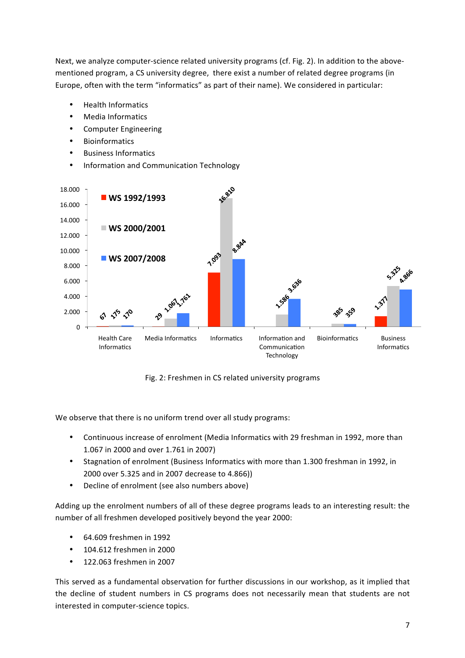Next, we analyze computer-science related university programs (cf. Fig. 2). In addition to the abovementioned program, a CS university degree, there exist a number of related degree programs (in Europe, often with the term "informatics" as part of their name). We considered in particular:

- Health!Informatics
- Media Informatics
- Computer Engineering
- Bioinformatics
- **Business Informatics**
- Information and Communication Technology



Fig. 2: Freshmen in CS related university programs

We observe that there is no uniform trend over all study programs:

- Continuous increase of enrolment (Media Informatics with 29 freshman in 1992, more than 1.067 in 2000 and over 1.761 in 2007)
- Stagnation of enrolment (Business Informatics with more than 1.300 freshman in 1992, in 2000 over 5.325 and in 2007 decrease to 4.866))
- Decline of enrolment (see also numbers above)

Adding up the enrolment numbers of all of these degree programs leads to an interesting result: the number of all freshmen developed positively beyond the year 2000:

- $\cdot$  64.609 freshmen in 1992
- $\cdot$  104.612 freshmen in 2000
- 122.063 freshmen in 2007

This served as a fundamental observation for further discussions in our workshop, as it implied that the decline of student numbers in CS programs does not necessarily mean that students are not interested in computer-science topics.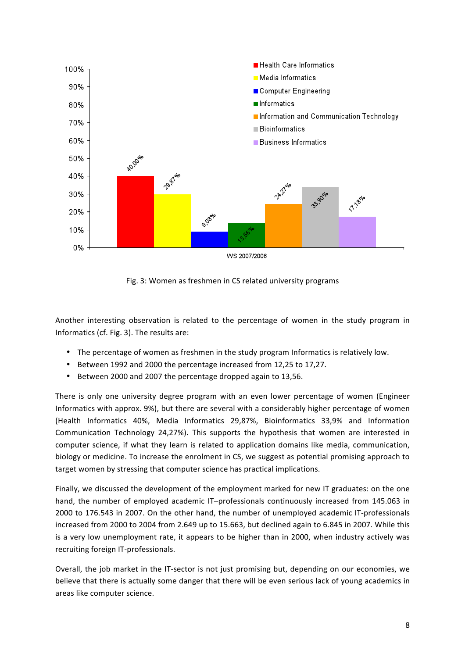

Fig. 3: Women as freshmen in CS related university programs

Another interesting observation is related to the percentage of women in the study program in Informatics (cf. Fig. 3). The results are:

- The percentage of women as freshmen in the study program Informatics is relatively low.
- Between 1992 and 2000 the percentage increased from 12,25 to 17,27.
- Between 2000 and 2007 the percentage dropped again to 13,56.

There is only one university degree program with an even lower percentage of women (Engineer Informatics with approx. 9%), but there are several with a considerably higher percentage of women (Health Informatics 40%, Media Informatics 29,87%, Bioinformatics 33,9% and Information Communication Technology 24,27%). This supports the hypothesis that women are interested in computer science, if what they learn is related to application domains like media, communication, biology or medicine. To increase the enrolment in CS, we suggest as potential promising approach to target women by stressing that computer science has practical implications.

Finally, we discussed the development of the employment marked for new IT graduates: on the one hand, the number of employed academic IT–professionals continuously increased from 145.063 in 2000 to 176.543 in 2007. On the other hand, the number of unemployed academic IT-professionals increased from 2000 to 2004 from 2.649 up to 15.663, but declined again to 6.845 in 2007. While this is a very low unemployment rate, it appears to be higher than in 2000, when industry actively was recruiting foreign IT-professionals.

Overall, the job market in the IT-sector is not just promising but, depending on our economies, we believe that there is actually some danger that there will be even serious lack of young academics in areas like computer science.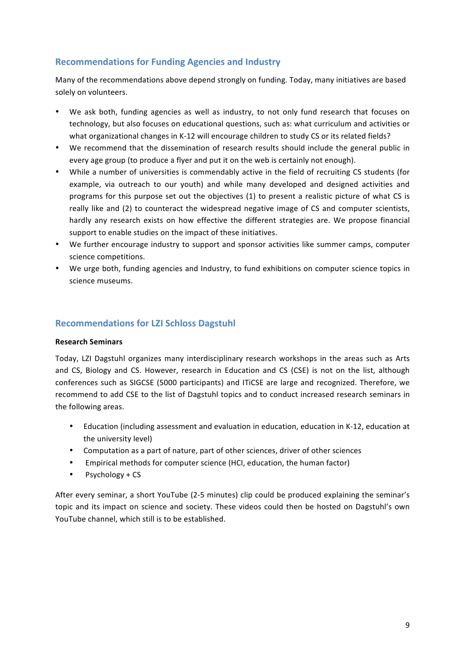# **Recommendations for Funding Agencies and Industry**

Many of the recommendations above depend strongly on funding. Today, many initiatives are based solely on volunteers.

- We ask both, funding agencies as well as industry, to not only fund research that focuses on technology, but also focuses on educational questions, such as: what curriculum and activities or what organizational changes in K-12 will encourage children to study CS or its related fields?
- We recommend that the dissemination of research results should include the general public in every age group (to produce a flyer and put it on the web is certainly not enough).
- While a number of universities is commendably active in the field of recruiting CS students (for example, via outreach to our youth) and while many developed and designed activities and programs for this purpose set out the objectives (1) to present a realistic picture of what CS is really like and (2) to counteract the widespread negative image of CS and computer scientists, hardly any research exists on how effective the different strategies are. We propose financial support to enable studies on the impact of these initiatives.
- We further encourage industry to support and sponsor activities like summer camps, computer science competitions.
- We urge both, funding agencies and Industry, to fund exhibitions on computer science topics in science museums.

### **Recommendations for LZI Schloss Dagstuhl**

#### **Research!Seminars!**

Today, LZI Dagstuhl organizes many interdisciplinary research workshops in the areas such as Arts and CS, Biology and CS. However, research in Education and CS (CSE) is not on the list, although conferences such as SIGCSE (5000 participants) and ITICSE are large and recognized. Therefore, we recommend to add CSE to the list of Dagstuhl topics and to conduct increased research seminars in the following areas.

- Education (including assessment and evaluation in education, education in K-12, education at the university level)
- Computation as a part of nature, part of other sciences, driver of other sciences
- Empirical methods for computer science (HCI, education, the human factor)
- $Psychology + CS$

After every seminar, a short YouTube (2-5 minutes) clip could be produced explaining the seminar's topic and its impact on science and society. These videos could then be hosted on Dagstuhl's own YouTube channel, which still is to be established.